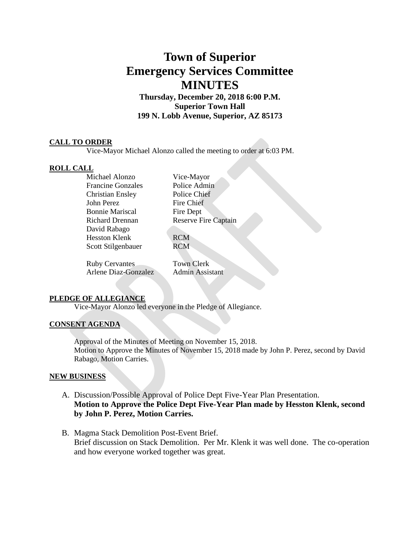# **Town of Superior Emergency Services Committee MINUTES**

**Thursday, December 20, 2018 6:00 P.M. Superior Town Hall 199 N. Lobb Avenue, Superior, AZ 85173**

## **CALL TO ORDER**

Vice-Mayor Michael Alonzo called the meeting to order at 6:03 PM.

#### **ROLL CALL**

Michael Alonzo Vice-Mayor Francine Gonzales Police Admin Christian Ensley Police Chief John Perez Fire Chief Bonnie Mariscal Fire Dept David Rabago Hesston Klenk RCM Scott Stilgenbauer RCM

Richard Drennan Reserve Fire Captain

Ruby Cervantes Town Clerk Arlene Diaz-Gonzalez Admin Assistant

#### **PLEDGE OF ALLEGIANCE**

Vice-Mayor Alonzo led everyone in the Pledge of Allegiance.

## **CONSENT AGENDA**

Approval of the Minutes of Meeting on November 15, 2018. Motion to Approve the Minutes of November 15, 2018 made by John P. Perez, second by David Rabago, Motion Carries.

#### **NEW BUSINESS**

- A. Discussion/Possible Approval of Police Dept Five-Year Plan Presentation. **Motion to Approve the Police Dept Five-Year Plan made by Hesston Klenk, second by John P. Perez, Motion Carries.**
- B. Magma Stack Demolition Post-Event Brief. Brief discussion on Stack Demolition. Per Mr. Klenk it was well done. The co-operation and how everyone worked together was great.